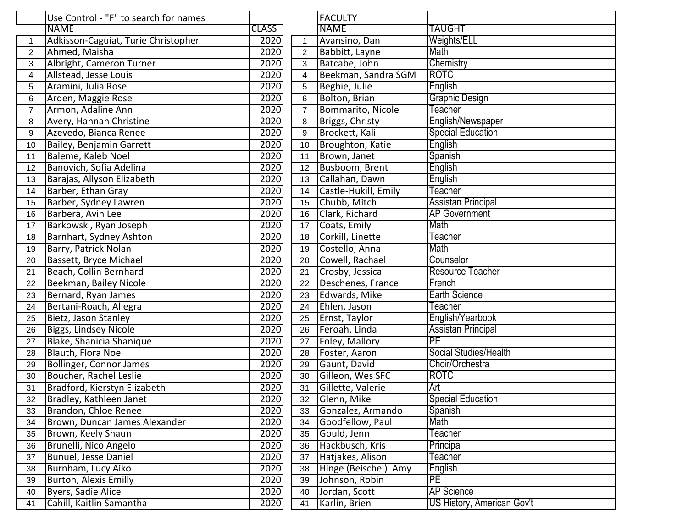|                | Use Control - "F" to search for names |                   |                | <b>FACULTY</b>       |                            |
|----------------|---------------------------------------|-------------------|----------------|----------------------|----------------------------|
|                | <b>NAME</b>                           | <b>CLASS</b>      |                | <b>NAME</b>          | TAUGHT                     |
| $\mathbf{1}$   | Adkisson-Caguiat, Turie Christopher   | 2020              | $\mathbf{1}$   | Avansino, Dan        | Weights/ELL                |
| $\overline{2}$ | Ahmed, Maisha                         | 2020              | $\overline{2}$ | Babbitt, Layne       | Math                       |
| 3              | Albright, Cameron Turner              | 2020              | 3              | Batcabe, John        | Chemistry                  |
| 4              | Allstead, Jesse Louis                 | 2020              | $\overline{4}$ | Beekman, Sandra SGM  | <b>ROTC</b>                |
| 5              | Aramini, Julia Rose                   | 2020              | 5              | Begbie, Julie        | English                    |
| 6              | Arden, Maggie Rose                    | 2020              | 6              | Bolton, Brian        | Graphic Design             |
| $\overline{7}$ | Armon, Adaline Ann                    | 2020              | $\overline{7}$ | Bommarito, Nicole    | Teacher                    |
| 8              | Avery, Hannah Christine               | 2020              | 8              | Briggs, Christy      | English/Newspaper          |
| 9              | Azevedo, Bianca Renee                 | 2020              | 9              | Brockett, Kali       | <b>Special Education</b>   |
| 10             | Bailey, Benjamin Garrett              | 2020              | 10             | Broughton, Katie     | English                    |
| 11             | Baleme, Kaleb Noel                    | 2020              | 11             | Brown, Janet         | Spanish                    |
| 12             | Banovich, Sofia Adelina               | 2020              | 12             | Busboom, Brent       | <b>English</b>             |
| 13             | Barajas, Allyson Elizabeth            | 2020              | 13             | Callahan, Dawn       | English                    |
| 14             | Barber, Ethan Gray                    | 2020              | 14             | Castle-Hukill, Emily | Teacher                    |
| 15             | Barber, Sydney Lawren                 | 2020              | 15             | Chubb, Mitch         | <b>Assistan Principal</b>  |
| 16             | Barbera, Avin Lee                     | $\overline{2020}$ | 16             | Clark, Richard       | <b>AP Government</b>       |
| 17             | Barkowski, Ryan Joseph                | $\overline{2020}$ | 17             | Coats, Emily         | Math                       |
| 18             | Barnhart, Sydney Ashton               | 2020              | 18             | Corkill, Linette     | Teacher                    |
| 19             | Barry, Patrick Nolan                  | 2020              | 19             | Costello, Anna       | Math                       |
| 20             | Bassett, Bryce Michael                | 2020              | 20             | Cowell, Rachael      | Counselor                  |
| 21             | Beach, Collin Bernhard                | 2020              | 21             | Crosby, Jessica      | <b>Resource Teacher</b>    |
| 22             | Beekman, Bailey Nicole                | 2020              | 22             | Deschenes, France    | French                     |
| 23             | Bernard, Ryan James                   | 2020              | 23             | Edwards, Mike        | Earth Science              |
| 24             | Bertani-Roach, Allegra                | 2020              | 24             | Ehlen, Jason         | Teacher                    |
| 25             | Bietz, Jason Stanley                  | 2020              | 25             | Ernst, Taylor        | English/Yearbook           |
| 26             | Biggs, Lindsey Nicole                 | 2020              | 26             | Feroah, Linda        | <b>Assistan Principal</b>  |
| 27             | Blake, Shanicia Shanique              | 2020              | 27             | Foley, Mallory       | PE                         |
| 28             | <b>Blauth, Flora Noel</b>             | 2020              | 28             | Foster, Aaron        | Social Studies/Health      |
| 29             | Bollinger, Connor James               | 2020              | 29             | Gaunt, David         | Choir/Orchestra            |
| 30             | Boucher, Rachel Leslie                | 2020              | 30             | Gilleon, Wes SFC     | <b>ROTC</b>                |
| 31             | Bradford, Kierstyn Elizabeth          | 2020              | 31             | Gillette, Valerie    | Art                        |
| 32             | Bradley, Kathleen Janet               | 2020              | 32             | Glenn, Mike          | <b>Special Education</b>   |
| 33             | Brandon, Chloe Renee                  | 2020              | 33             | Gonzalez, Armando    | Spanish                    |
| 34             | Brown, Duncan James Alexander         | 2020              | 34             | Goodfellow, Paul     | Math                       |
| 35             | Brown, Keely Shaun                    | 2020              | 35             | Gould, Jenn          | Teacher                    |
| 36             | Brunelli, Nico Angelo                 | 2020              | 36             | Hackbusch, Kris      | Principal                  |
| 37             | Bunuel, Jesse Daniel                  | 2020              | 37             | Hatjakes, Alison     | Teacher                    |
| 38             | Burnham, Lucy Aiko                    | 2020              | 38             | Hinge (Beischel) Amy | English                    |
| 39             | <b>Burton, Alexis Emilly</b>          | 2020              | 39             | Johnson, Robin       | PE                         |
| 40             | Byers, Sadie Alice                    | 2020              | 40             | Jordan, Scott        | <b>AP Science</b>          |
| 41             | Cahill, Kaitlin Samantha              | 2020              | 41             | Karlin, Brien        | US History, American Gov't |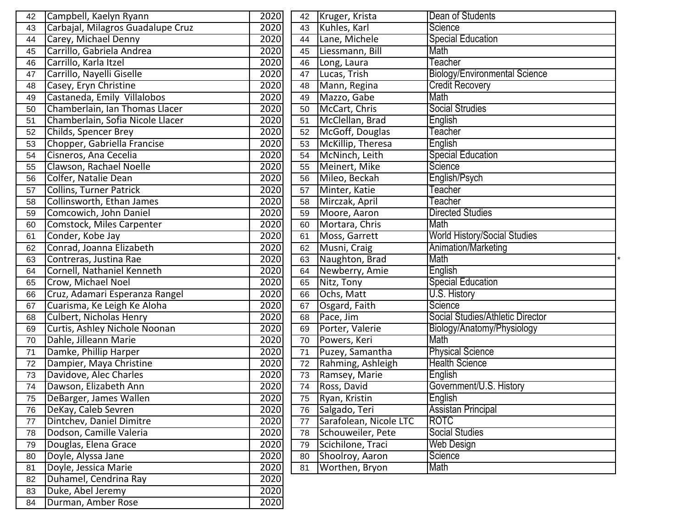| 42      | Campbell, Kaelyn Ryann            | 2020 | 42 | Kruger, Krista         | Dean of Students                     |
|---------|-----------------------------------|------|----|------------------------|--------------------------------------|
| 43      | Carbajal, Milagros Guadalupe Cruz | 2020 | 43 | Kuhles, Karl           | Science                              |
| 44      | Carey, Michael Denny              | 2020 | 44 | Lane, Michele          | <b>Special Education</b>             |
| 45      | Carrillo, Gabriela Andrea         | 2020 | 45 | Liessmann, Bill        | Math                                 |
| 46      | Carrillo, Karla Itzel             | 2020 | 46 | Long, Laura            | Teacher                              |
| 47      | Carrillo, Nayelli Giselle         | 2020 | 47 | Lucas, Trish           | <b>Biology/Environmental Science</b> |
| 48      | Casey, Eryn Christine             | 2020 | 48 | Mann, Regina           | <b>Credit Recovery</b>               |
| 49      | Castaneda, Emily Villalobos       | 2020 | 49 | Mazzo, Gabe            | Math                                 |
| 50      | Chamberlain, Ian Thomas Llacer    | 2020 | 50 | McCart, Chris          | <b>Social Strudies</b>               |
| 51      | Chamberlain, Sofia Nicole Llacer  | 2020 | 51 | McClellan, Brad        | English                              |
| 52      | Childs, Spencer Brey              | 2020 | 52 | McGoff, Douglas        | Teacher                              |
| 53      | Chopper, Gabriella Francise       | 2020 | 53 | McKillip, Theresa      | English                              |
| 54      | Cisneros, Ana Cecelia             | 2020 | 54 | McNinch, Leith         | <b>Special Education</b>             |
| 55      | Clawson, Rachael Noelle           | 2020 | 55 | Meinert, Mike          | Science                              |
| 56      | Colfer, Natalie Dean              | 2020 | 56 | Mileo, Beckah          | English/Psych                        |
| 57      | Collins, Turner Patrick           | 2020 | 57 | Minter, Katie          | Teacher                              |
| 58      | Collinsworth, Ethan James         | 2020 | 58 | Mirczak, April         | Teacher                              |
| 59      | Comcowich, John Daniel            | 2020 | 59 | Moore, Aaron           | <b>Directed Studies</b>              |
| 60      | Comstock, Miles Carpenter         | 2020 | 60 | Mortara, Chris         | Math                                 |
| 61      | Conder, Kobe Jay                  | 2020 | 61 | Moss, Garrett          | <b>World History/Social Studies</b>  |
| 62      | Conrad, Joanna Elizabeth          | 2020 | 62 | Musni, Craig           | Animation/Marketing                  |
| 63      | Contreras, Justina Rae            | 2020 | 63 | Naughton, Brad         | Math                                 |
| 64      | Cornell, Nathaniel Kenneth        | 2020 | 64 | Newberry, Amie         | English                              |
| 65      | Crow, Michael Noel                | 2020 | 65 | Nitz, Tony             | <b>Special Education</b>             |
| 66      | Cruz, Adamari Esperanza Rangel    | 2020 | 66 | Ochs, Matt             | <b>U.S. History</b>                  |
| 67      | Cuarisma, Ke Leigh Ke Aloha       | 2020 | 67 | Osgard, Faith          | Science                              |
| 68      | Culbert, Nicholas Henry           | 2020 | 68 | Pace, Jim              | Social Studies/Athletic Director     |
| 69      | Curtis, Ashley Nichole Noonan     | 2020 | 69 | Porter, Valerie        | Biology/Anatomy/Physiology           |
| 70      | Dahle, Jilleann Marie             | 2020 | 70 | Powers, Keri           | Math                                 |
| 71      | Damke, Phillip Harper             | 2020 | 71 | Puzey, Samantha        | <b>Physical Science</b>              |
| 72      | Dampier, Maya Christine           | 2020 | 72 | Rahming, Ashleigh      | <b>Health Science</b>                |
| 73      | Davidove, Alec Charles            | 2020 | 73 | Ramsey, Marie          | English                              |
| 74      | Dawson, Elizabeth Ann             | 2020 | 74 | Ross, David            | Government/U.S. History              |
| 75      | DeBarger, James Wallen            | 2020 | 75 | Ryan, Kristin          | English                              |
| 76      | DeKay, Caleb Sevren               | 2020 | 76 | Salgado, Teri          | <b>Assistan Principal</b>            |
| $77 \,$ | Dintchev, Daniel Dimitre          | 2020 | 77 | Sarafolean, Nicole LTC | <b>ROTC</b>                          |
| 78      | Dodson, Camille Valeria           | 2020 | 78 | Schouweiler, Pete      | <b>Social Studies</b>                |
| 79      | Douglas, Elena Grace              | 2020 | 79 | Scichilone, Traci      | Web Design                           |
| 80      | Doyle, Alyssa Jane                | 2020 | 80 | Shoolroy, Aaron        | Science                              |
| 81      | Doyle, Jessica Marie              | 2020 | 81 | Worthen, Bryon         | Math                                 |
| 82      | Duhamel, Cendrina Ray             | 2020 |    |                        |                                      |
| 83      | Duke, Abel Jeremy                 | 2020 |    |                        |                                      |
| 84      | Durman, Amber Rose                | 2020 |    |                        |                                      |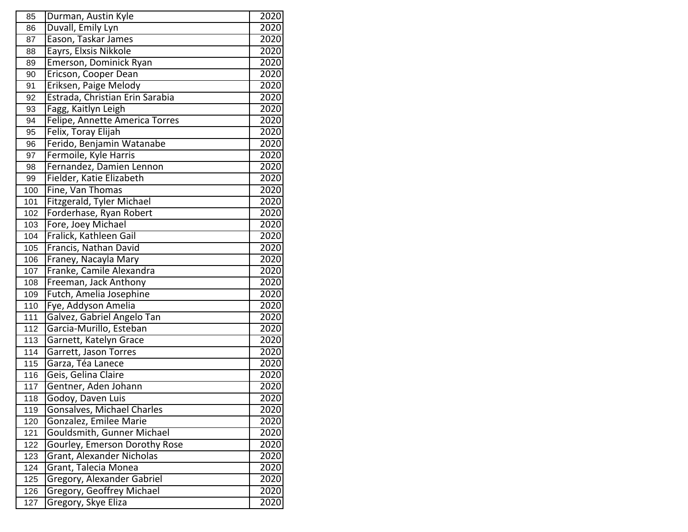| 85  | Durman, Austin Kyle              | 2020 |
|-----|----------------------------------|------|
| 86  | Duvall, Emily Lyn                | 2020 |
| 87  | Eason, Taskar James              | 2020 |
| 88  | Eayrs, Elxsis Nikkole            | 2020 |
| 89  | Emerson, Dominick Ryan           | 2020 |
| 90  | Ericson, Cooper Dean             | 2020 |
| 91  | Eriksen, Paige Melody            | 2020 |
| 92  | Estrada, Christian Erin Sarabia  | 2020 |
| 93  | Fagg, Kaitlyn Leigh              | 2020 |
| 94  | Felipe, Annette America Torres   | 2020 |
| 95  | Felix, Toray Elijah              | 2020 |
| 96  | Ferido, Benjamin Watanabe        | 2020 |
| 97  | Fermoile, Kyle Harris            | 2020 |
| 98  | Fernandez, Damien Lennon         | 2020 |
| 99  | Fielder, Katie Elizabeth         | 2020 |
| 100 | Fine, Van Thomas                 | 2020 |
| 101 | Fitzgerald, Tyler Michael        | 2020 |
| 102 | Forderhase, Ryan Robert          | 2020 |
| 103 | Fore, Joey Michael               | 2020 |
| 104 | Fralick, Kathleen Gail           | 2020 |
| 105 | Francis, Nathan David            | 2020 |
| 106 | Franey, Nacayla Mary             | 2020 |
| 107 | Franke, Camile Alexandra         | 2020 |
| 108 | Freeman, Jack Anthony            | 2020 |
| 109 | Futch, Amelia Josephine          | 2020 |
| 110 | Fye, Addyson Amelia              | 2020 |
| 111 | Galvez, Gabriel Angelo Tan       | 2020 |
| 112 | Garcia-Murillo, Esteban          | 2020 |
| 113 | Garnett, Katelyn Grace           | 2020 |
| 114 | Garrett, Jason Torres            | 2020 |
| 115 | Garza, Téa Lanece                | 2020 |
| 116 | Geis, Gelina Claire              | 2020 |
| 117 | Gentner, Aden Johann             | 2020 |
| 118 | Godoy, Daven Luis                | 2020 |
| 119 | Gonsalves, Michael Charles       | 2020 |
| 120 | Gonzalez, Emilee Marie           | 2020 |
| 121 | Gouldsmith, Gunner Michael       | 2020 |
| 122 | Gourley, Emerson Dorothy Rose    | 2020 |
| 123 | Grant, Alexander Nicholas        | 2020 |
| 124 | Grant, Talecia Monea             | 2020 |
| 125 | Gregory, Alexander Gabriel       | 2020 |
| 126 | <b>Gregory, Geoffrey Michael</b> | 2020 |
| 127 | Gregory, Skye Eliza              | 2020 |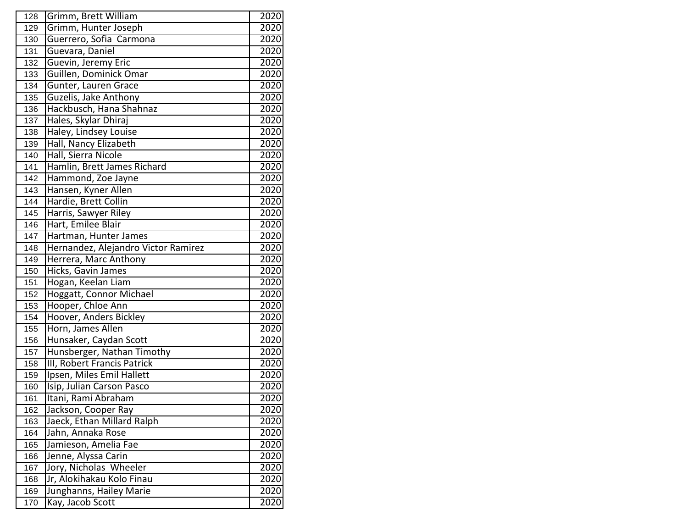| 128 | Grimm, Brett William                | 2020              |
|-----|-------------------------------------|-------------------|
| 129 | Grimm, Hunter Joseph                | 2020              |
| 130 | Guerrero, Sofia Carmona             | 2020              |
| 131 | Guevara, Daniel                     | 2020              |
| 132 | Guevin, Jeremy Eric                 | 2020              |
| 133 | Guillen, Dominick Omar              | 2020              |
| 134 | Gunter, Lauren Grace                | 2020              |
| 135 | Guzelis, Jake Anthony               | 2020              |
| 136 | Hackbusch, Hana Shahnaz             | 2020              |
| 137 | Hales, Skylar Dhiraj                | 2020              |
| 138 | Haley, Lindsey Louise               | 2020              |
| 139 | Hall, Nancy Elizabeth               | 2020              |
| 140 | Hall, Sierra Nicole                 | 2020              |
| 141 | Hamlin, Brett James Richard         | 2020              |
| 142 | Hammond, Zoe Jayne                  | 2020              |
| 143 | Hansen, Kyner Allen                 | 2020              |
| 144 | Hardie, Brett Collin                | 2020              |
| 145 | Harris, Sawyer Riley                | 2020              |
| 146 | Hart, Emilee Blair                  | 2020              |
| 147 | Hartman, Hunter James               | 2020              |
| 148 | Hernandez, Alejandro Victor Ramirez | 2020              |
| 149 | Herrera, Marc Anthony               | 2020              |
| 150 | Hicks, Gavin James                  | 2020              |
| 151 | Hogan, Keelan Liam                  | 2020              |
| 152 | Hoggatt, Connor Michael             | 2020              |
| 153 | Hooper, Chloe Ann                   | 2020              |
| 154 | Hoover, Anders Bickley              | 2020              |
| 155 | Horn, James Allen                   | 2020              |
| 156 | Hunsaker, Caydan Scott              | 2020              |
| 157 | Hunsberger, Nathan Timothy          | 2020              |
| 158 | III, Robert Francis Patrick         | 2020              |
| 159 | Ipsen, Miles Emil Hallett           | 2020              |
| 160 | Isip, Julian Carson Pasco           | 2020              |
| 161 | Itani, Rami Abraham                 | 2020              |
| 162 | Jackson, Cooper Ray                 | 2020              |
| 163 | Jaeck, Ethan Millard Ralph          | 2020              |
| 164 | Jahn, Annaka Rose                   | 2020              |
| 165 | Jamieson, Amelia Fae                | 2020              |
| 166 | Jenne, Alyssa Carin                 | 2020              |
| 167 | Jory, Nicholas Wheeler              | $\overline{20}20$ |
| 168 | Jr, Alokihakau Kolo Finau           | 2020              |
| 169 | Junghanns, Hailey Marie             | 2020              |
| 170 | Kay, Jacob Scott                    | 2020              |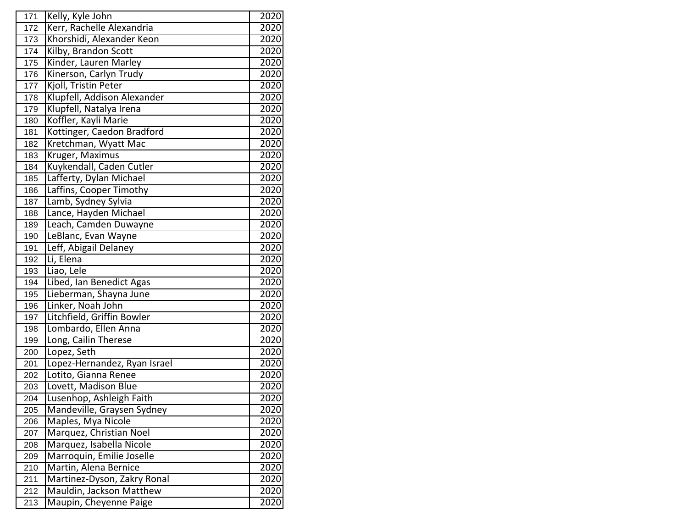| 171 | Kelly, Kyle John             | 2020 |
|-----|------------------------------|------|
| 172 | Kerr, Rachelle Alexandria    | 2020 |
| 173 | Khorshidi, Alexander Keon    | 2020 |
| 174 | Kilby, Brandon Scott         | 2020 |
| 175 | Kinder, Lauren Marley        | 2020 |
| 176 | Kinerson, Carlyn Trudy       | 2020 |
| 177 | Kjoll, Tristin Peter         | 2020 |
| 178 | Klupfell, Addison Alexander  | 2020 |
| 179 | Klupfell, Natalya Irena      | 2020 |
| 180 | Koffler, Kayli Marie         | 2020 |
| 181 | Kottinger, Caedon Bradford   | 2020 |
| 182 | Kretchman, Wyatt Mac         | 2020 |
| 183 | Kruger, Maximus              | 2020 |
| 184 | Kuykendall, Caden Cutler     | 2020 |
| 185 | Lafferty, Dylan Michael      | 2020 |
| 186 | Laffins, Cooper Timothy      | 2020 |
| 187 | Lamb, Sydney Sylvia          | 2020 |
| 188 | Lance, Hayden Michael        | 2020 |
| 189 | Leach, Camden Duwayne        | 2020 |
| 190 | LeBlanc, Evan Wayne          | 2020 |
| 191 | Leff, Abigail Delaney        | 2020 |
| 192 | Li, Elena                    | 2020 |
| 193 | Liao, Lele                   | 2020 |
| 194 | Libed, Ian Benedict Agas     | 2020 |
| 195 | Lieberman, Shayna June       | 2020 |
| 196 | Linker, Noah John            | 2020 |
| 197 | Litchfield, Griffin Bowler   | 2020 |
| 198 | Lombardo, Ellen Anna         | 2020 |
| 199 | Long, Cailin Therese         | 2020 |
| 200 | Lopez, Seth                  | 2020 |
| 201 | Lopez-Hernandez, Ryan Israel | 2020 |
| 202 | Lotito, Gianna Renee         | 2020 |
| 203 | Lovett, Madison Blue         | 2020 |
| 204 | Lusenhop, Ashleigh Faith     | 2020 |
| 205 | Mandeville, Graysen Sydney   | 2020 |
| 206 | Maples, Mya Nicole           | 2020 |
| 207 | Marquez, Christian Noel      | 2020 |
| 208 | Marquez, Isabella Nicole     | 2020 |
| 209 | Marroquin, Emilie Joselle    | 2020 |
| 210 | Martin, Alena Bernice        | 2020 |
| 211 | Martinez-Dyson, Zakry Ronal  | 2020 |
| 212 | Mauldin, Jackson Matthew     | 2020 |
| 213 | Maupin, Cheyenne Paige       | 2020 |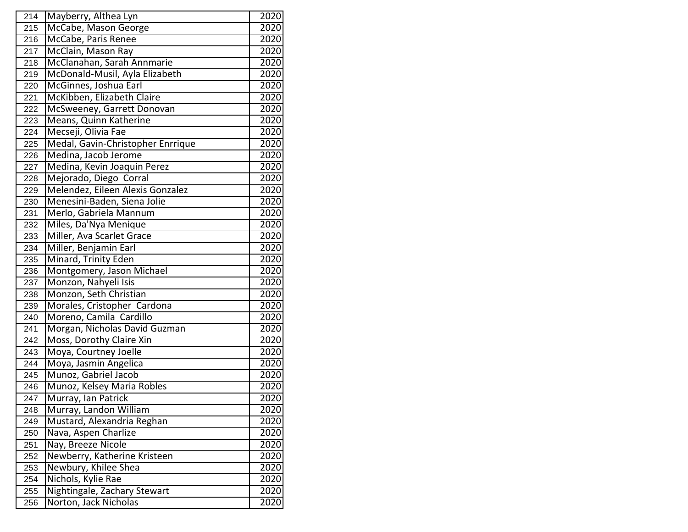| 214 | Mayberry, Althea Lyn              | 2020 |
|-----|-----------------------------------|------|
| 215 | McCabe, Mason George              | 2020 |
| 216 | McCabe, Paris Renee               | 2020 |
| 217 | McClain, Mason Ray                | 2020 |
| 218 | McClanahan, Sarah Annmarie        | 2020 |
| 219 | McDonald-Musil, Ayla Elizabeth    | 2020 |
| 220 | McGinnes, Joshua Earl             | 2020 |
| 221 | McKibben, Elizabeth Claire        | 2020 |
| 222 | McSweeney, Garrett Donovan        | 2020 |
| 223 | Means, Quinn Katherine            | 2020 |
| 224 | Mecseji, Olivia Fae               | 2020 |
| 225 | Medal, Gavin-Christopher Enrrique | 2020 |
| 226 | Medina, Jacob Jerome              | 2020 |
| 227 | Medina, Kevin Joaquin Perez       | 2020 |
| 228 | Mejorado, Diego Corral            | 2020 |
| 229 | Melendez, Eileen Alexis Gonzalez  | 2020 |
| 230 | Menesini-Baden, Siena Jolie       | 2020 |
| 231 | Merlo, Gabriela Mannum            | 2020 |
| 232 | Miles, Da'Nya Menique             | 2020 |
| 233 | Miller, Ava Scarlet Grace         | 2020 |
| 234 | Miller, Benjamin Earl             | 2020 |
| 235 | Minard, Trinity Eden              | 2020 |
| 236 | Montgomery, Jason Michael         | 2020 |
| 237 | Monzon, Nahyeli Isis              | 2020 |
| 238 | Monzon, Seth Christian            | 2020 |
| 239 | Morales, Cristopher Cardona       | 2020 |
| 240 | Moreno, Camila Cardillo           | 2020 |
| 241 | Morgan, Nicholas David Guzman     | 2020 |
| 242 | Moss, Dorothy Claire Xin          | 2020 |
| 243 | Moya, Courtney Joelle             | 2020 |
| 244 | Moya, Jasmin Angelica             | 2020 |
| 245 | Munoz, Gabriel Jacob              | 2020 |
| 246 | Munoz, Kelsey Maria Robles        | 2020 |
| 247 | Murray, Ian Patrick               | 2020 |
| 248 | Murray, Landon William            | 2020 |
| 249 | Mustard, Alexandria Reghan        | 2020 |
| 250 | Nava, Aspen Charlize              | 2020 |
| 251 | Nay, Breeze Nicole                | 2020 |
| 252 | Newberry, Katherine Kristeen      | 2020 |
| 253 | Newbury, Khilee Shea              | 2020 |
| 254 | Nichols, Kylie Rae                | 2020 |
| 255 | Nightingale, Zachary Stewart      | 2020 |
| 256 | Norton, Jack Nicholas             | 2020 |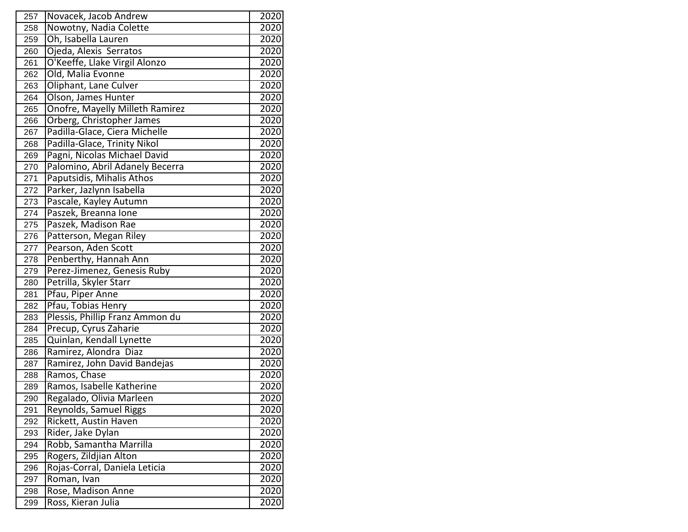| 257 | Novacek, Jacob Andrew           | 2020              |
|-----|---------------------------------|-------------------|
| 258 | Nowotny, Nadia Colette          | 2020              |
| 259 | Oh, Isabella Lauren             | 2020              |
| 260 | Ojeda, Alexis Serratos          | 2020              |
| 261 | O'Keeffe, Llake Virgil Alonzo   | 2020              |
| 262 | Old, Malia Evonne               | 2020              |
| 263 | Oliphant, Lane Culver           | 2020              |
| 264 | Olson, James Hunter             | 2020              |
| 265 | Onofre, Mayelly Milleth Ramirez | 2020              |
| 266 | Orberg, Christopher James       | 2020              |
| 267 | Padilla-Glace, Ciera Michelle   | 2020              |
| 268 | Padilla-Glace, Trinity Nikol    | 2020              |
| 269 | Pagni, Nicolas Michael David    | 2020              |
| 270 | Palomino, Abril Adanely Becerra | 2020              |
| 271 | Paputsidis, Mihalis Athos       | 2020              |
| 272 | Parker, Jazlynn Isabella        | 2020              |
| 273 | Pascale, Kayley Autumn          | 2020              |
| 274 | Paszek, Breanna Ione            | 2020              |
| 275 | Paszek, Madison Rae             | 2020              |
| 276 | Patterson, Megan Riley          | 2020              |
| 277 | Pearson, Aden Scott             | 2020              |
| 278 | Penberthy, Hannah Ann           | 2020              |
| 279 | Perez-Jimenez, Genesis Ruby     | $\overline{20}20$ |
| 280 | Petrilla, Skyler Starr          | 2020              |
| 281 | Pfau, Piper Anne                | 2020              |
| 282 | Pfau, Tobias Henry              | 2020              |
| 283 | Plessis, Phillip Franz Ammon du | 2020              |
| 284 | Precup, Cyrus Zaharie           | 2020              |
| 285 | Quinlan, Kendall Lynette        | 2020              |
| 286 | Ramirez, Alondra Diaz           | 2020              |
| 287 | Ramirez, John David Bandejas    | 2020              |
| 288 | Ramos, Chase                    | 2020              |
| 289 | Ramos, Isabelle Katherine       | 2020              |
| 290 | Regalado, Olivia Marleen        | 2020              |
| 291 | Reynolds, Samuel Riggs          | 2020              |
| 292 | Rickett, Austin Haven           | 2020              |
| 293 | Rider, Jake Dylan               | 2020              |
| 294 | Robb, Samantha Marrilla         | 2020              |
| 295 | Rogers, Zildjian Alton          | 2020              |
| 296 | Rojas-Corral, Daniela Leticia   | $\overline{20}20$ |
| 297 | Roman, Ivan                     | 2020              |
| 298 | Rose, Madison Anne              | 2020              |
| 299 | Ross, Kieran Julia              | 2020              |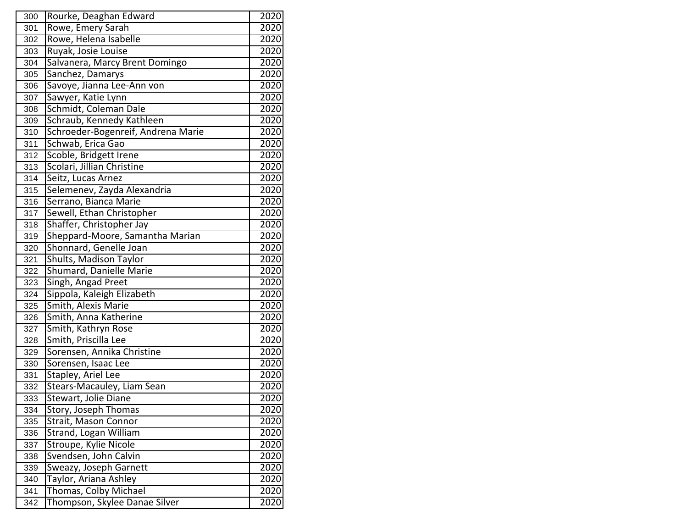| 300 | Rourke, Deaghan Edward             | 2020 |
|-----|------------------------------------|------|
| 301 | Rowe, Emery Sarah                  | 2020 |
| 302 | Rowe, Helena Isabelle              | 2020 |
| 303 | Ruyak, Josie Louise                | 2020 |
| 304 | Salvanera, Marcy Brent Domingo     | 2020 |
| 305 | Sanchez, Damarys                   | 2020 |
| 306 | Savoye, Jianna Lee-Ann von         | 2020 |
| 307 | Sawyer, Katie Lynn                 | 2020 |
| 308 | Schmidt, Coleman Dale              | 2020 |
| 309 | Schraub, Kennedy Kathleen          | 2020 |
| 310 | Schroeder-Bogenreif, Andrena Marie | 2020 |
| 311 | Schwab, Erica Gao                  | 2020 |
| 312 | Scoble, Bridgett Irene             | 2020 |
| 313 | Scolari, Jillian Christine         | 2020 |
| 314 | Seitz, Lucas Arnez                 | 2020 |
| 315 | Selemenev, Zayda Alexandria        | 2020 |
| 316 | Serrano, Bianca Marie              | 2020 |
| 317 | Sewell, Ethan Christopher          | 2020 |
| 318 | Shaffer, Christopher Jay           | 2020 |
| 319 | Sheppard-Moore, Samantha Marian    | 2020 |
| 320 | Shonnard, Genelle Joan             | 2020 |
| 321 | Shults, Madison Taylor             | 2020 |
| 322 | Shumard, Danielle Marie            | 2020 |
| 323 | Singh, Angad Preet                 | 2020 |
| 324 | Sippola, Kaleigh Elizabeth         | 2020 |
| 325 | Smith, Alexis Marie                | 2020 |
| 326 | Smith, Anna Katherine              | 2020 |
| 327 | Smith, Kathryn Rose                | 2020 |
| 328 | Smith, Priscilla Lee               | 2020 |
| 329 | Sorensen, Annika Christine         | 2020 |
| 330 | Sorensen, Isaac Lee                | 2020 |
| 331 | Stapley, Ariel Lee                 | 2020 |
| 332 | Stears-Macauley, Liam Sean         | 2020 |
| 333 | Stewart, Jolie Diane               | 2020 |
| 334 | Story, Joseph Thomas               | 2020 |
| 335 | <b>Strait, Mason Connor</b>        | 2020 |
| 336 | Strand, Logan William              | 2020 |
| 337 | Stroupe, Kylie Nicole              | 2020 |
| 338 | Svendsen, John Calvin              | 2020 |
| 339 | Sweazy, Joseph Garnett             | 2020 |
| 340 | Taylor, Ariana Ashley              | 2020 |
| 341 | Thomas, Colby Michael              | 2020 |
| 342 | Thompson, Skylee Danae Silver      | 2020 |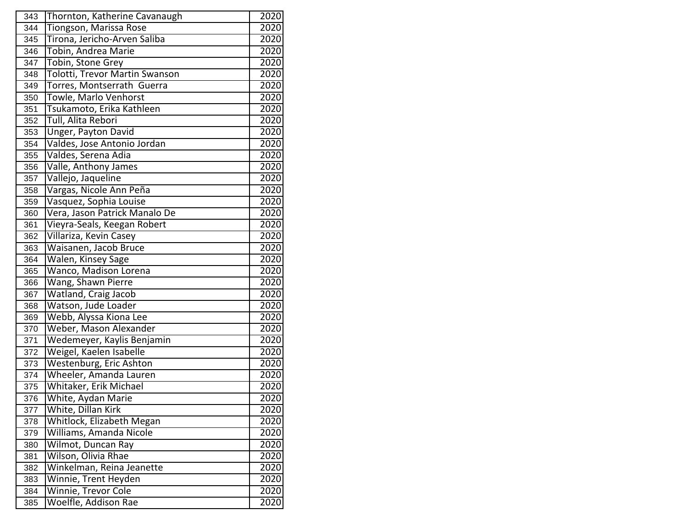| 343 | Thornton, Katherine Cavanaugh  | 2020 |
|-----|--------------------------------|------|
| 344 | Tiongson, Marissa Rose         | 2020 |
| 345 | Tirona, Jericho-Arven Saliba   | 2020 |
| 346 | Tobin, Andrea Marie            | 2020 |
| 347 | Tobin, Stone Grey              | 2020 |
| 348 | Tolotti, Trevor Martin Swanson | 2020 |
| 349 | Torres, Montserrath Guerra     | 2020 |
| 350 | Towle, Marlo Venhorst          | 2020 |
| 351 | Tsukamoto, Erika Kathleen      | 2020 |
| 352 | Tull, Alita Rebori             | 2020 |
| 353 | Unger, Payton David            | 2020 |
| 354 | Valdes, Jose Antonio Jordan    | 2020 |
| 355 | Valdes, Serena Adia            | 2020 |
| 356 | Valle, Anthony James           | 2020 |
| 357 | Vallejo, Jaqueline             | 2020 |
| 358 | Vargas, Nicole Ann Peña        | 2020 |
| 359 | Vasquez, Sophia Louise         | 2020 |
| 360 | Vera, Jason Patrick Manalo De  | 2020 |
| 361 | Vieyra-Seals, Keegan Robert    | 2020 |
| 362 | Villariza, Kevin Casey         | 2020 |
| 363 | Waisanen, Jacob Bruce          | 2020 |
| 364 | Walen, Kinsey Sage             | 2020 |
| 365 | Wanco, Madison Lorena          | 2020 |
| 366 | Wang, Shawn Pierre             | 2020 |
| 367 | Watland, Craig Jacob           | 2020 |
| 368 | Watson, Jude Loader            | 2020 |
| 369 | Webb, Alyssa Kiona Lee         | 2020 |
| 370 | Weber, Mason Alexander         | 2020 |
| 371 | Wedemeyer, Kaylis Benjamin     | 2020 |
| 372 | Weigel, Kaelen Isabelle        | 2020 |
| 373 | Westenburg, Eric Ashton        | 2020 |
| 374 | Wheeler, Amanda Lauren         | 2020 |
| 375 | Whitaker, Erik Michael         | 2020 |
| 376 | White, Aydan Marie             | 2020 |
| 377 | White, Dillan Kirk             | 2020 |
| 378 | Whitlock, Elizabeth Megan      | 2020 |
| 379 | Williams, Amanda Nicole        | 2020 |
| 380 | Wilmot, Duncan Ray             | 2020 |
| 381 | Wilson, Olivia Rhae            | 2020 |
| 382 | Winkelman, Reina Jeanette      | 2020 |
| 383 | Winnie, Trent Heyden           | 2020 |
| 384 | Winnie, Trevor Cole            | 2020 |
| 385 | Woelfle, Addison Rae           | 2020 |